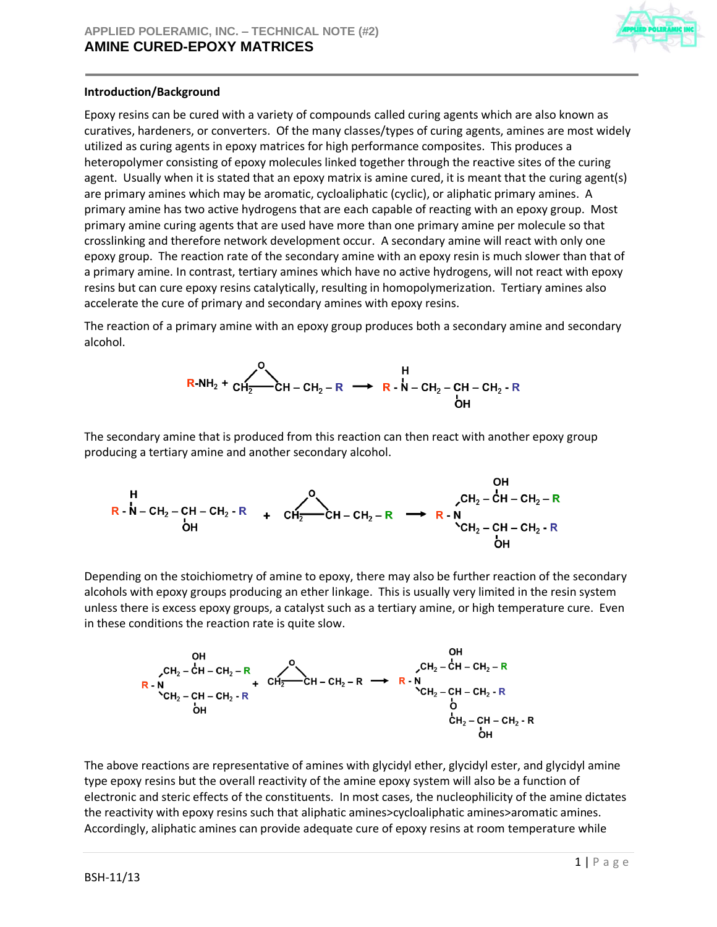

# **Introduction/Background**

Epoxy resins can be cured with a variety of compounds called curing agents which are also known as curatives, hardeners, or converters. Of the many classes/types of curing agents, amines are most widely utilized as curing agents in epoxy matrices for high performance composites. This produces a heteropolymer consisting of epoxy molecules linked together through the reactive sites of the curing agent. Usually when it is stated that an epoxy matrix is amine cured, it is meant that the curing agent(s) are primary amines which may be aromatic, cycloaliphatic (cyclic), or aliphatic primary amines. A primary amine has two active hydrogens that are each capable of reacting with an epoxy group. Most primary amine curing agents that are used have more than one primary amine per molecule so that crosslinking and therefore network development occur. A secondary amine will react with only one epoxy group. The reaction rate of the secondary amine with an epoxy resin is much slower than that of a primary amine. In contrast, tertiary amines which have no active hydrogens, will not react with epoxy resins but can cure epoxy resins catalytically, resulting in homopolymerization. Tertiary amines also accelerate the cure of primary and secondary amines with epoxy resins.

The reaction of a primary amine with an epoxy group produces both a secondary amine and secondary alcohol.



The secondary amine that is produced from this reaction can then react with another epoxy group producing a tertiary amine and another secondary alcohol.

 $\sim$   $\sim$   $\sim$ 

H  
\n
$$
CH_2 - CH - CH_2 - R
$$
  
\n $CH_2 - CH - CH_2 - R$   
\n $CH_2 - CH - CH_2 - R$   
\n $CH_2 - CH - CH_2 - R$   
\n $CH_2 - CH - CH_2 - R$   
\n $CH_2 - CH - CH_2 - R$   
\n $CH_2 - CH - CH_2 - R$   
\n $CH_2 - CH - CH_2 - R$ 

Depending on the stoichiometry of amine to epoxy, there may also be further reaction of the secondary alcohols with epoxy groups producing an ether linkage. This is usually very limited in the resin system unless there is excess epoxy groups, a catalyst such as a tertiary amine, or high temperature cure. Even in these conditions the reaction rate is quite slow.



The above reactions are representative of amines with glycidyl ether, glycidyl ester, and glycidyl amine type epoxy resins but the overall reactivity of the amine epoxy system will also be a function of electronic and steric effects of the constituents. In most cases, the nucleophilicity of the amine dictates the reactivity with epoxy resins such that aliphatic amines>cycloaliphatic amines>aromatic amines. Accordingly, aliphatic amines can provide adequate cure of epoxy resins at room temperature while